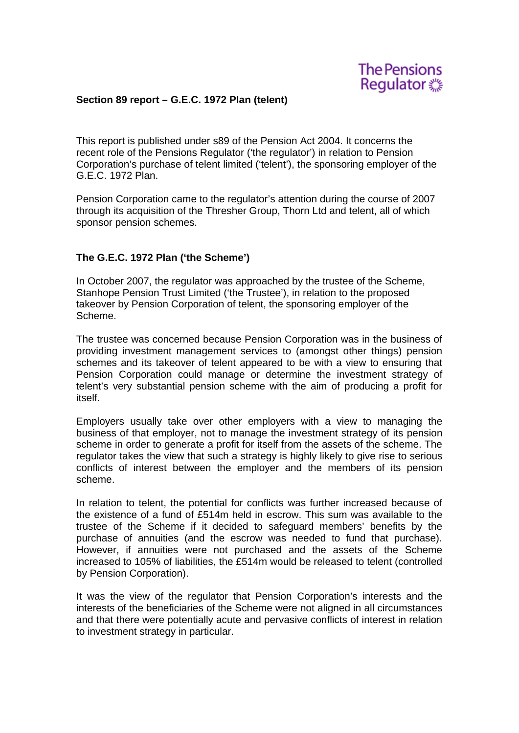**The Pensions** Regulator ...

#### **Section 89 report – G.E.C. 1972 Plan (telent)**

This report is published under s89 of the Pension Act 2004. It concerns the recent role of the Pensions Regulator ('the regulator') in relation to Pension Corporation's purchase of telent limited ('telent'), the sponsoring employer of the G.E.C. 1972 Plan.

Pension Corporation came to the regulator's attention during the course of 2007 through its acquisition of the Thresher Group, Thorn Ltd and telent, all of which sponsor pension schemes.

#### **The G.E.C. 1972 Plan ('the Scheme')**

In October 2007, the regulator was approached by the trustee of the Scheme, Stanhope Pension Trust Limited ('the Trustee'), in relation to the proposed takeover by Pension Corporation of telent, the sponsoring employer of the Scheme.

The trustee was concerned because Pension Corporation was in the business of providing investment management services to (amongst other things) pension schemes and its takeover of telent appeared to be with a view to ensuring that Pension Corporation could manage or determine the investment strategy of telent's very substantial pension scheme with the aim of producing a profit for itself.

Employers usually take over other employers with a view to managing the business of that employer, not to manage the investment strategy of its pension scheme in order to generate a profit for itself from the assets of the scheme. The regulator takes the view that such a strategy is highly likely to give rise to serious conflicts of interest between the employer and the members of its pension scheme.

In relation to telent, the potential for conflicts was further increased because of the existence of a fund of £514m held in escrow. This sum was available to the trustee of the Scheme if it decided to safeguard members' benefits by the purchase of annuities (and the escrow was needed to fund that purchase). However, if annuities were not purchased and the assets of the Scheme increased to 105% of liabilities, the £514m would be released to telent (controlled by Pension Corporation).

It was the view of the regulator that Pension Corporation's interests and the interests of the beneficiaries of the Scheme were not aligned in all circumstances and that there were potentially acute and pervasive conflicts of interest in relation to investment strategy in particular.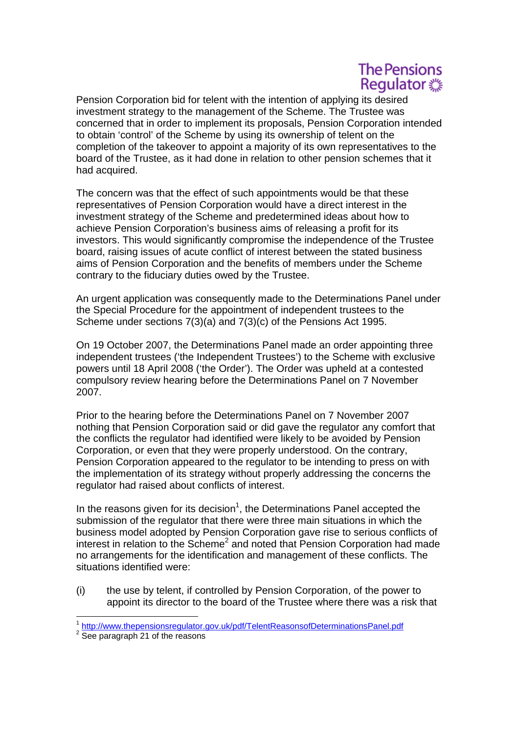# **The Pensions** Regulator ...

Pension Corporation bid for telent with the intention of applying its desired investment strategy to the management of the Scheme. The Trustee was concerned that in order to implement its proposals, Pension Corporation intended to obtain 'control' of the Scheme by using its ownership of telent on the completion of the takeover to appoint a majority of its own representatives to the board of the Trustee, as it had done in relation to other pension schemes that it had acquired.

The concern was that the effect of such appointments would be that these representatives of Pension Corporation would have a direct interest in the investment strategy of the Scheme and predetermined ideas about how to achieve Pension Corporation's business aims of releasing a profit for its investors. This would significantly compromise the independence of the Trustee board, raising issues of acute conflict of interest between the stated business aims of Pension Corporation and the benefits of members under the Scheme contrary to the fiduciary duties owed by the Trustee.

An urgent application was consequently made to the Determinations Panel under the Special Procedure for the appointment of independent trustees to the Scheme under sections 7(3)(a) and 7(3)(c) of the Pensions Act 1995.

On 19 October 2007, the Determinations Panel made an order appointing three independent trustees ('the Independent Trustees') to the Scheme with exclusive powers until 18 April 2008 ('the Order'). The Order was upheld at a contested compulsory review hearing before the Determinations Panel on 7 November 2007.

Prior to the hearing before the Determinations Panel on 7 November 2007 nothing that Pension Corporation said or did gave the regulator any comfort that the conflicts the regulator had identified were likely to be avoided by Pension Corporation, or even that they were properly understood. On the contrary, Pension Corporation appeared to the regulator to be intending to press on with the implementation of its strategy without properly addressing the concerns the regulator had raised about conflicts of interest.

In the reasons given for its decision<sup>1</sup>, the Determinations Panel accepted the submission of the regulator that there were three main situations in which the business model adopted by Pension Corporation gave rise to serious conflicts of interest in relation to the Scheme<sup>2</sup> and noted that Pension Corporation had made no arrangements for the identification and management of these conflicts. The situations identified were:

(i) the use by telent, if controlled by Pension Corporation, of the power to appoint its director to the board of the Trustee where there was a risk that

 <sup>1</sup> http://www.thepensionsregulator.gov.uk/pdf/TelentReasonsofDeterminationsPanel.pdf

<sup>&</sup>lt;sup>2</sup> See paragraph 21 of the reasons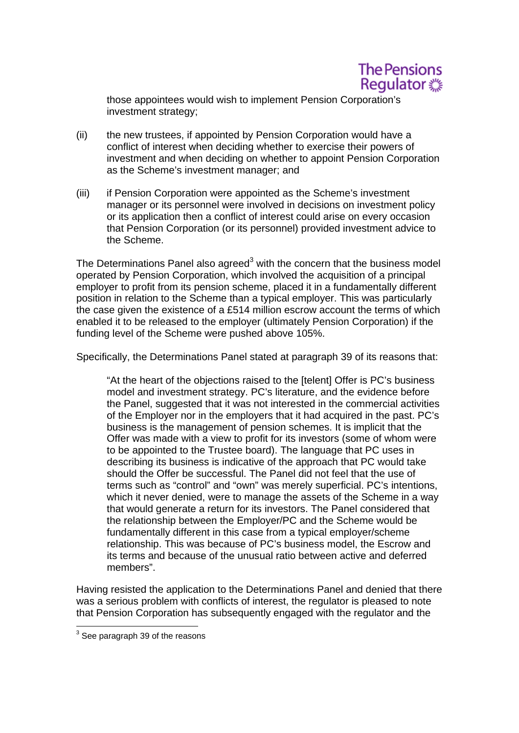# **The Pensions** Regulator ...

those appointees would wish to implement Pension Corporation's investment strategy;

- investment and when deciding on whether to appoint Pension Corporation (ii) the new trustees, if appointed by Pension Corporation would have a conflict of interest when deciding whether to exercise their powers of as the Scheme's investment manager; and
- (iii) if Pension Corporation were appointed as the Scheme's investment manager or its personnel were involved in decisions on investment policy or its application then a conflict of interest could arise on every occasion that Pension Corporation (or its personnel) provided investment advice to the Scheme.

The Determinations Panel also agreed $3$  with the concern that the business model operated by Pension Corporation, which involved the acquisition of a principal employer to profit from its pension scheme, placed it in a fundamentally different position in relation to the Scheme than a typical employer. This was particularly the case given the existence of a £514 million escrow account the terms of which enabled it to be released to the employer (ultimately Pension Corporation) if the funding level of the Scheme were pushed above 105%.

Specifically, the Determinations Panel stated at paragraph 39 of its reasons that:

"At the heart of the objections raised to the [telent] Offer is PC's business model and investment strategy. PC's literature, and the evidence before the Panel, suggested that it was not interested in the commercial activities of the Employer nor in the employers that it had acquired in the past. PC's business is the management of pension schemes. It is implicit that the Offer was made with a view to profit for its investors (some of whom were to be appointed to the Trustee board). The language that PC uses in describing its business is indicative of the approach that PC would take should the Offer be successful. The Panel did not feel that the use of terms such as "control" and "own" was merely superficial. PC's intentions, which it never denied, were to manage the assets of the Scheme in a way that would generate a return for its investors. The Panel considered that the relationship between the Employer/PC and the Scheme would be fundamentally different in this case from a typical employer/scheme relationship. This was because of PC's business model, the Escrow and its terms and because of the unusual ratio between active and deferred members".

Having resisted the application to the Determinations Panel and denied that there was a serious problem with conflicts of interest, the regulator is pleased to note that Pension Corporation has subsequently engaged with the regulator and the

 3 See paragraph 39 of the reasons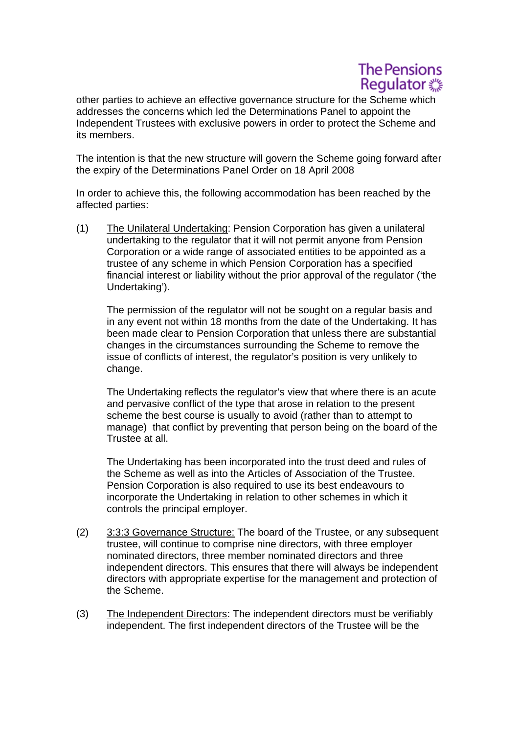# **The Pensions** Regulator ...

other parties to achieve an effective governance structure for the Scheme which addresses the concerns which led the Determinations Panel to appoint the Independent Trustees with exclusive powers in order to protect the Scheme and its members.

The intention is that the new structure will govern the Scheme going forward after the expiry of the Determinations Panel Order on 18 April 2008

In order to achieve this, the following accommodation has been reached by the affected parties:

 Undertaking'). (1) The Unilateral Undertaking: Pension Corporation has given a unilateral undertaking to the regulator that it will not permit anyone from Pension Corporation or a wide range of associated entities to be appointed as a trustee of any scheme in which Pension Corporation has a specified financial interest or liability without the prior approval of the regulator ('the

 issue of conflicts of interest, the regulator's position is very unlikely to change. The permission of the regulator will not be sought on a regular basis and in any event not within 18 months from the date of the Undertaking. It has been made clear to Pension Corporation that unless there are substantial changes in the circumstances surrounding the Scheme to remove the

The Undertaking reflects the regulator's view that where there is an acute and pervasive conflict of the type that arose in relation to the present scheme the best course is usually to avoid (rather than to attempt to manage) that conflict by preventing that person being on the board of the Trustee at all.

 the Scheme as well as into the Articles of Association of the Trustee. The Undertaking has been incorporated into the trust deed and rules of Pension Corporation is also required to use its best endeavours to incorporate the Undertaking in relation to other schemes in which it controls the principal employer.

- (2) 3:3:3 Governance Structure: The board of the Trustee, or any subsequent trustee, will continue to comprise nine directors, with three employer nominated directors, three member nominated directors and three independent directors. This ensures that there will always be independent directors with appropriate expertise for the management and protection of the Scheme.
- (3) The Independent Directors: The independent directors must be verifiably independent. The first independent directors of the Trustee will be the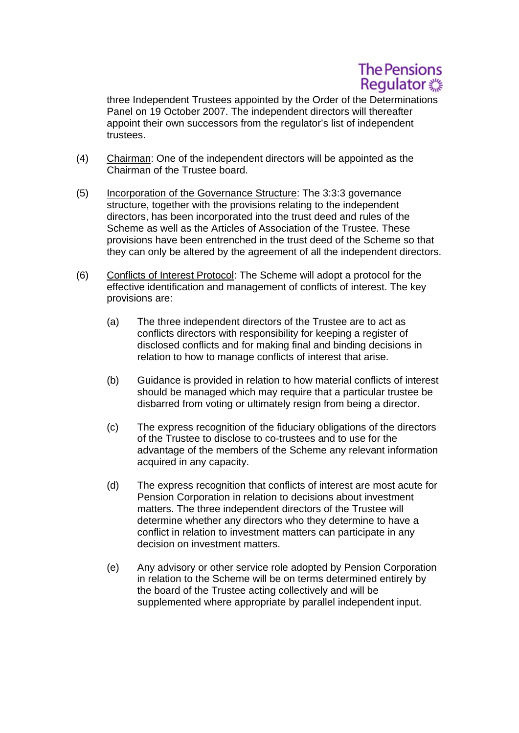

trustees. three Independent Trustees appointed by the Order of the Determinations Panel on 19 October 2007. The independent directors will thereafter appoint their own successors from the regulator's list of independent

- $(4)$  Chairman: One of the independent directors will be appointed as the Chairman of the Trustee board.
- (5) Incorporation of the Governance Structure: The 3:3:3 governance structure, together with the provisions relating to the independent directors, has been incorporated into the trust deed and rules of the Scheme as well as the Articles of Association of the Trustee. These provisions have been entrenched in the trust deed of the Scheme so that they can only be altered by the agreement of all the independent directors.
- (6) Conflicts of Interest Protocol: The Scheme will adopt a protocol for the effective identification and management of conflicts of interest. The key provisions are:
	- (a) The three independent directors of the Trustee are to act as relation to how to manage conflicts of interest that arise. conflicts directors with responsibility for keeping a register of disclosed conflicts and for making final and binding decisions in
	- (b) Guidance is provided in relation to how material conflicts of interest should be managed which may require that a particular trustee be disbarred from voting or ultimately resign from being a director.
	- acquired in any capacity. (c) The express recognition of the fiduciary obligations of the directors of the Trustee to disclose to co-trustees and to use for the advantage of the members of the Scheme any relevant information
	- acquired in any capacity. (d) The express recognition that conflicts of interest are most acute for Pension Corporation in relation to decisions about investment matters. The three independent directors of the Trustee will determine whether any directors who they determine to have a conflict in relation to investment matters can participate in any decision on investment matters.
	- (e) Any advisory or other service role adopted by Pension Corporation in relation to the Scheme will be on terms determined entirely by the board of the Trustee acting collectively and will be supplemented where appropriate by parallel independent input.